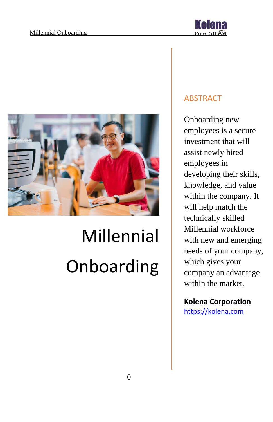



# Millennial Onboarding

### ABSTRACT

Onboarding new employees is a secure investment that will assist newly hired employees in developing their skills, knowledge, and value within the company. It will help match the technically skilled Millennial workforce with new and emerging needs of your company, which gives your company an advantage within the market.

## **Kolena Corporation**

[https://kolena.com](https://kolena.com/)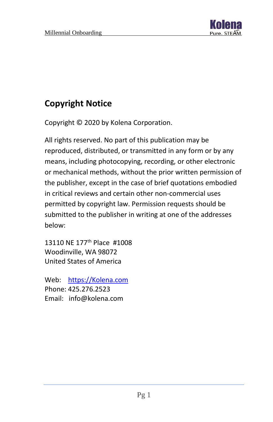

# **Copyright Notice**

Copyright © 2020 by Kolena Corporation.

All rights reserved. No part of this publication may be reproduced, distributed, or transmitted in any form or by any means, including photocopying, recording, or other electronic or mechanical methods, without the prior written permission of the publisher, except in the case of brief quotations embodied in critical reviews and certain other non-commercial uses permitted by copyright law. Permission requests should be submitted to the publisher in writing at one of the addresses below:

13110 NE 177<sup>th</sup> Place #1008 Woodinville, WA 98072 United States of America

Web: [https://Kolena.com](https://kolena.com/) Phone: 425.276.2523 Email: info@kolena.com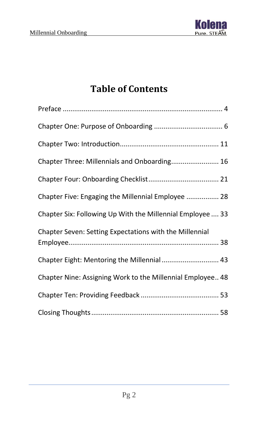

# **Table of Contents**

| Chapter Three: Millennials and Onboarding 16               |
|------------------------------------------------------------|
|                                                            |
| Chapter Five: Engaging the Millennial Employee  28         |
| Chapter Six: Following Up With the Millennial Employee  33 |
| Chapter Seven: Setting Expectations with the Millennial    |
| Chapter Eight: Mentoring the Millennial  43                |
| Chapter Nine: Assigning Work to the Millennial Employee 48 |
|                                                            |
|                                                            |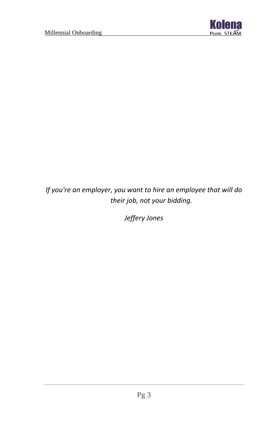

*If you're an employer, you want to hire an employee that will do their job, not your bidding.*

*Jeffery Jones*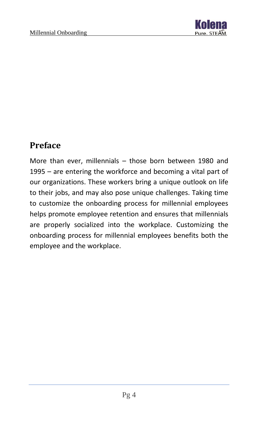

## <span id="page-4-0"></span>**Preface**

More than ever, millennials – those born between 1980 and 1995 – are entering the workforce and becoming a vital part of our organizations. These workers bring a unique outlook on life to their jobs, and may also pose unique challenges. Taking time to customize the onboarding process for millennial employees helps promote employee retention and ensures that millennials are properly socialized into the workplace. Customizing the onboarding process for millennial employees benefits both the employee and the workplace.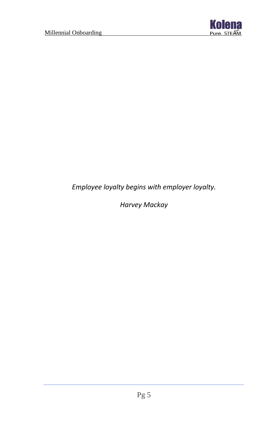

*Employee loyalty begins with employer loyalty.*

*Harvey Mackay*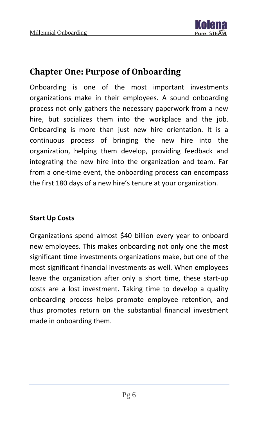

## <span id="page-6-0"></span>**Chapter One: Purpose of Onboarding**

Onboarding is one of the most important investments organizations make in their employees. A sound onboarding process not only gathers the necessary paperwork from a new hire, but socializes them into the workplace and the job. Onboarding is more than just new hire orientation. It is a continuous process of bringing the new hire into the organization, helping them develop, providing feedback and integrating the new hire into the organization and team. Far from a one-time event, the onboarding process can encompass the first 180 days of a new hire's tenure at your organization.

#### **Start Up Costs**

Organizations spend almost \$40 billion every year to onboard new employees. This makes onboarding not only one the most significant time investments organizations make, but one of the most significant financial investments as well. When employees leave the organization after only a short time, these start-up costs are a lost investment. Taking time to develop a quality onboarding process helps promote employee retention, and thus promotes return on the substantial financial investment made in onboarding them.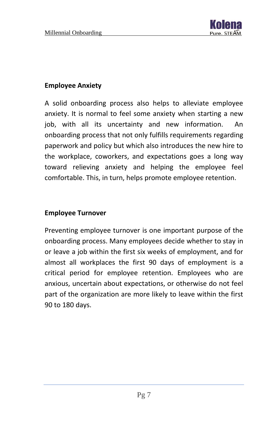

#### **Employee Anxiety**

A solid onboarding process also helps to alleviate employee anxiety. It is normal to feel some anxiety when starting a new job, with all its uncertainty and new information. An onboarding process that not only fulfills requirements regarding paperwork and policy but which also introduces the new hire to the workplace, coworkers, and expectations goes a long way toward relieving anxiety and helping the employee feel comfortable. This, in turn, helps promote employee retention.

#### **Employee Turnover**

Preventing employee turnover is one important purpose of the onboarding process. Many employees decide whether to stay in or leave a job within the first six weeks of employment, and for almost all workplaces the first 90 days of employment is a critical period for employee retention. Employees who are anxious, uncertain about expectations, or otherwise do not feel part of the organization are more likely to leave within the first 90 to 180 days.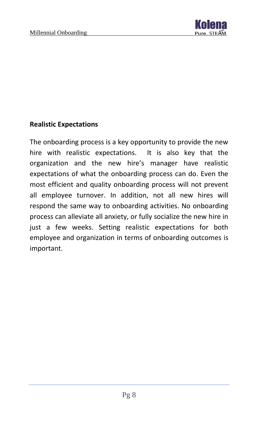

#### **Realistic Expectations**

The onboarding process is a key opportunity to provide the new hire with realistic expectations. It is also key that the organization and the new hire's manager have realistic expectations of what the onboarding process can do. Even the most efficient and quality onboarding process will not prevent all employee turnover. In addition, not all new hires will respond the same way to onboarding activities. No onboarding process can alleviate all anxiety, or fully socialize the new hire in just a few weeks. Setting realistic expectations for both employee and organization in terms of onboarding outcomes is important.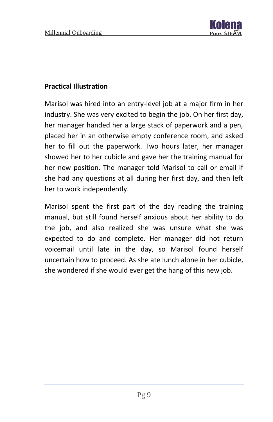

#### **Practical Illustration**

Marisol was hired into an entry-level job at a major firm in her industry. She was very excited to begin the job. On her first day, her manager handed her a large stack of paperwork and a pen, placed her in an otherwise empty conference room, and asked her to fill out the paperwork. Two hours later, her manager showed her to her cubicle and gave her the training manual for her new position. The manager told Marisol to call or email if she had any questions at all during her first day, and then left her to work independently.

Marisol spent the first part of the day reading the training manual, but still found herself anxious about her ability to do the job, and also realized she was unsure what she was expected to do and complete. Her manager did not return voicemail until late in the day, so Marisol found herself uncertain how to proceed. As she ate lunch alone in her cubicle, she wondered if she would ever get the hang of this new job.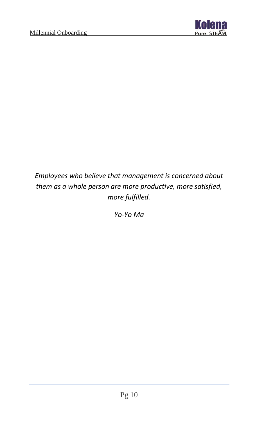

## *Employees who believe that management is concerned about them as a whole person are more productive, more satisfied, more fulfilled.*

*Yo-Yo Ma*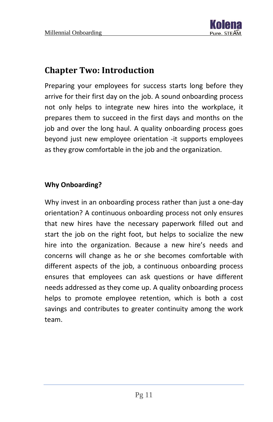

## <span id="page-11-0"></span>**Chapter Two: Introduction**

Preparing your employees for success starts long before they arrive for their first day on the job. A sound onboarding process not only helps to integrate new hires into the workplace, it prepares them to succeed in the first days and months on the job and over the long haul. A quality onboarding process goes beyond just new employee orientation -it supports employees as they grow comfortable in the job and the organization.

#### **Why Onboarding?**

Why invest in an onboarding process rather than just a one-day orientation? A continuous onboarding process not only ensures that new hires have the necessary paperwork filled out and start the job on the right foot, but helps to socialize the new hire into the organization. Because a new hire's needs and concerns will change as he or she becomes comfortable with different aspects of the job, a continuous onboarding process ensures that employees can ask questions or have different needs addressed as they come up. A quality onboarding process helps to promote employee retention, which is both a cost savings and contributes to greater continuity among the work team.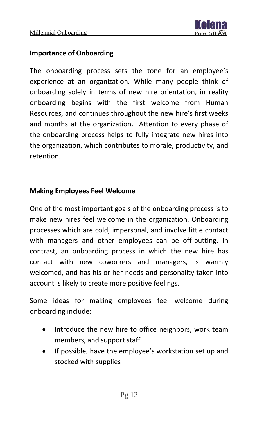

#### **Importance of Onboarding**

The onboarding process sets the tone for an employee's experience at an organization. While many people think of onboarding solely in terms of new hire orientation, in reality onboarding begins with the first welcome from Human Resources, and continues throughout the new hire's first weeks and months at the organization. Attention to every phase of the onboarding process helps to fully integrate new hires into the organization, which contributes to morale, productivity, and retention.

#### **Making Employees Feel Welcome**

One of the most important goals of the onboarding process is to make new hires feel welcome in the organization. Onboarding processes which are cold, impersonal, and involve little contact with managers and other employees can be off-putting. In contrast, an onboarding process in which the new hire has contact with new coworkers and managers, is warmly welcomed, and has his or her needs and personality taken into account is likely to create more positive feelings.

Some ideas for making employees feel welcome during onboarding include:

- Introduce the new hire to office neighbors, work team members, and support staff
- If possible, have the employee's workstation set up and stocked with supplies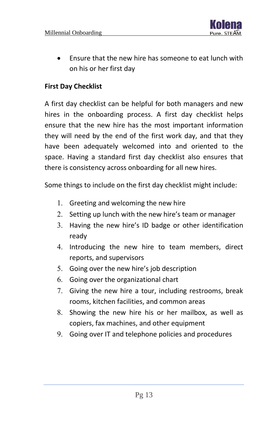

• Ensure that the new hire has someone to eat lunch with on his or her first day

#### **First Day Checklist**

A first day checklist can be helpful for both managers and new hires in the onboarding process. A first day checklist helps ensure that the new hire has the most important information they will need by the end of the first work day, and that they have been adequately welcomed into and oriented to the space. Having a standard first day checklist also ensures that there is consistency across onboarding for all new hires.

Some things to include on the first day checklist might include:

- 1. Greeting and welcoming the new hire
- 2. Setting up lunch with the new hire's team or manager
- 3. Having the new hire's ID badge or other identification ready
- 4. Introducing the new hire to team members, direct reports, and supervisors
- 5. Going over the new hire's job description
- Going over the organizational chart
- 7. Giving the new hire a tour, including restrooms, break rooms, kitchen facilities, and common areas
- Showing the new hire his or her mailbox, as well as copiers, fax machines, and other equipment
- Going over IT and telephone policies and procedures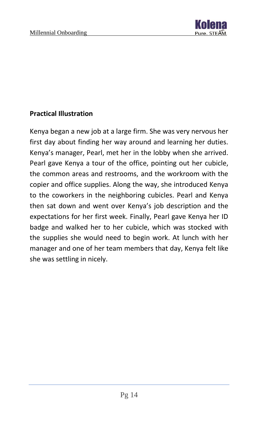

#### **Practical Illustration**

Kenya began a new job at a large firm. She was very nervous her first day about finding her way around and learning her duties. Kenya's manager, Pearl, met her in the lobby when she arrived. Pearl gave Kenya a tour of the office, pointing out her cubicle, the common areas and restrooms, and the workroom with the copier and office supplies. Along the way, she introduced Kenya to the coworkers in the neighboring cubicles. Pearl and Kenya then sat down and went over Kenya's job description and the expectations for her first week. Finally, Pearl gave Kenya her ID badge and walked her to her cubicle, which was stocked with the supplies she would need to begin work. At lunch with her manager and one of her team members that day, Kenya felt like she was settling in nicely.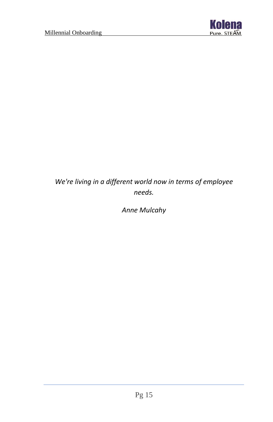

## *We're living in a different world now in terms of employee needs.*

*Anne Mulcahy*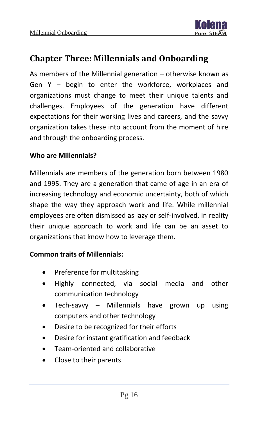

## <span id="page-16-0"></span>**Chapter Three: Millennials and Onboarding**

As members of the Millennial generation – otherwise known as Gen Y – begin to enter the workforce, workplaces and organizations must change to meet their unique talents and challenges. Employees of the generation have different expectations for their working lives and careers, and the savvy organization takes these into account from the moment of hire and through the onboarding process.

#### **Who are Millennials?**

Millennials are members of the generation born between 1980 and 1995. They are a generation that came of age in an era of increasing technology and economic uncertainty, both of which shape the way they approach work and life. While millennial employees are often dismissed as lazy or self-involved, in reality their unique approach to work and life can be an asset to organizations that know how to leverage them.

#### **Common traits of Millennials:**

- Preference for multitasking
- Highly connected, via social media and other communication technology
- Tech-savvy Millennials have grown up using computers and other technology
- Desire to be recognized for their efforts
- Desire for instant gratification and feedback
- Team-oriented and collaborative
- Close to their parents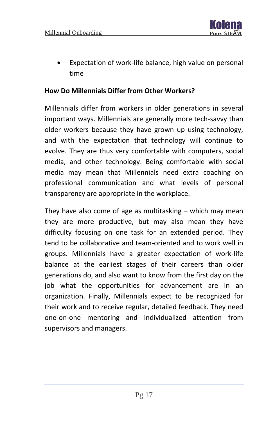

Expectation of work-life balance, high value on personal time

#### **How Do Millennials Differ from Other Workers?**

Millennials differ from workers in older generations in several important ways. Millennials are generally more tech-savvy than older workers because they have grown up using technology, and with the expectation that technology will continue to evolve. They are thus very comfortable with computers, social media, and other technology. Being comfortable with social media may mean that Millennials need extra coaching on professional communication and what levels of personal transparency are appropriate in the workplace.

They have also come of age as multitasking – which may mean they are more productive, but may also mean they have difficulty focusing on one task for an extended period. They tend to be collaborative and team-oriented and to work well in groups. Millennials have a greater expectation of work-life balance at the earliest stages of their careers than older generations do, and also want to know from the first day on the job what the opportunities for advancement are in an organization. Finally, Millennials expect to be recognized for their work and to receive regular, detailed feedback. They need one-on-one mentoring and individualized attention from supervisors and managers.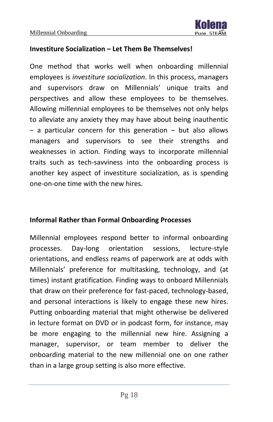

#### **Investiture Socialization – Let Them Be Themselves!**

One method that works well when onboarding millennial employees is *investiture socialization*. In this process, managers and supervisors draw on Millennials' unique traits and perspectives and allow these employees to be themselves. Allowing millennial employees to be themselves not only helps to alleviate any anxiety they may have about being inauthentic  $-$  a particular concern for this generation  $-$  but also allows managers and supervisors to see their strengths and weaknesses in action. Finding ways to incorporate millennial traits such as tech-savviness into the onboarding process is another key aspect of investiture socialization, as is spending one-on-one time with the new hires.

#### **Informal Rather than Formal Onboarding Processes**

Millennial employees respond better to informal onboarding processes. Day-long orientation sessions, lecture-style orientations, and endless reams of paperwork are at odds with Millennials' preference for multitasking, technology, and (at times) instant gratification. Finding ways to onboard Millennials that draw on their preference for fast-paced, technology-based, and personal interactions is likely to engage these new hires. Putting onboarding material that might otherwise be delivered in lecture format on DVD or in podcast form, for instance, may be more engaging to the millennial new hire. Assigning a manager, supervisor, or team member to deliver the onboarding material to the new millennial one on one rather than in a large group setting is also more effective.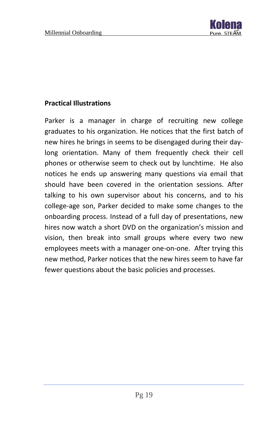

#### **Practical Illustrations**

Parker is a manager in charge of recruiting new college graduates to his organization. He notices that the first batch of new hires he brings in seems to be disengaged during their daylong orientation. Many of them frequently check their cell phones or otherwise seem to check out by lunchtime. He also notices he ends up answering many questions via email that should have been covered in the orientation sessions. After talking to his own supervisor about his concerns, and to his college-age son, Parker decided to make some changes to the onboarding process. Instead of a full day of presentations, new hires now watch a short DVD on the organization's mission and vision, then break into small groups where every two new employees meets with a manager one-on-one. After trying this new method, Parker notices that the new hires seem to have far fewer questions about the basic policies and processes.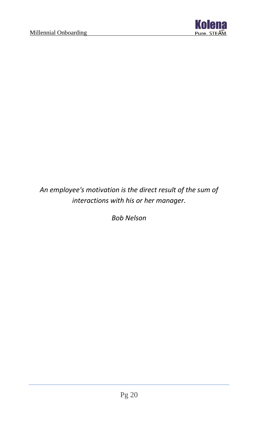

## *An employee's motivation is the direct result of the sum of interactions with his or her manager.*

*Bob Nelson*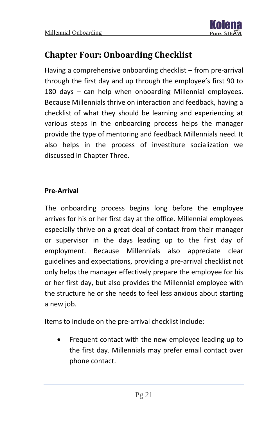

## <span id="page-21-0"></span>**Chapter Four: Onboarding Checklist**

Having a comprehensive onboarding checklist – from pre-arrival through the first day and up through the employee's first 90 to 180 days – can help when onboarding Millennial employees. Because Millennials thrive on interaction and feedback, having a checklist of what they should be learning and experiencing at various steps in the onboarding process helps the manager provide the type of mentoring and feedback Millennials need. It also helps in the process of investiture socialization we discussed in Chapter Three.

#### **Pre-Arrival**

The onboarding process begins long before the employee arrives for his or her first day at the office. Millennial employees especially thrive on a great deal of contact from their manager or supervisor in the days leading up to the first day of employment. Because Millennials also appreciate clear guidelines and expectations, providing a pre-arrival checklist not only helps the manager effectively prepare the employee for his or her first day, but also provides the Millennial employee with the structure he or she needs to feel less anxious about starting a new job.

Items to include on the pre-arrival checklist include:

• Frequent contact with the new employee leading up to the first day. Millennials may prefer email contact over phone contact.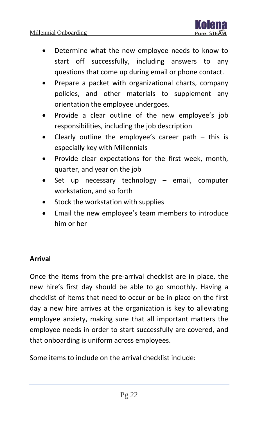

- Determine what the new employee needs to know to start off successfully, including answers to any questions that come up during email or phone contact.
- Prepare a packet with organizational charts, company policies, and other materials to supplement any orientation the employee undergoes.
- Provide a clear outline of the new employee's job responsibilities, including the job description
- Clearly outline the employee's career path  $-$  this is especially key with Millennials
- Provide clear expectations for the first week, month, quarter, and year on the job
- Set up necessary technology  $-$  email, computer workstation, and so forth
- Stock the workstation with supplies
- Email the new employee's team members to introduce him or her

#### **Arrival**

Once the items from the pre-arrival checklist are in place, the new hire's first day should be able to go smoothly. Having a checklist of items that need to occur or be in place on the first day a new hire arrives at the organization is key to alleviating employee anxiety, making sure that all important matters the employee needs in order to start successfully are covered, and that onboarding is uniform across employees.

Some items to include on the arrival checklist include: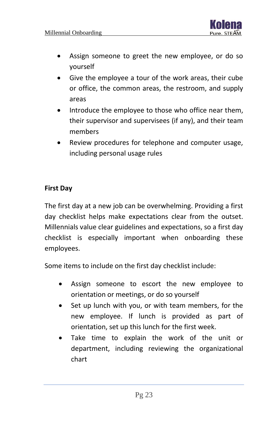

- Assign someone to greet the new employee, or do so yourself
- Give the employee a tour of the work areas, their cube or office, the common areas, the restroom, and supply areas
- Introduce the employee to those who office near them, their supervisor and supervisees (if any), and their team members
- Review procedures for telephone and computer usage, including personal usage rules

#### **First Day**

The first day at a new job can be overwhelming. Providing a first day checklist helps make expectations clear from the outset. Millennials value clear guidelines and expectations, so a first day checklist is especially important when onboarding these employees.

Some items to include on the first day checklist include:

- Assign someone to escort the new employee to orientation or meetings, or do so yourself
- Set up lunch with you, or with team members, for the new employee. If lunch is provided as part of orientation, set up this lunch for the first week.
- Take time to explain the work of the unit or department, including reviewing the organizational chart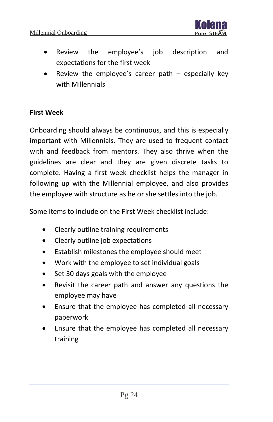

- Review the employee's job description and expectations for the first week
- Review the employee's career path  $-$  especially key with Millennials

#### **First Week**

Onboarding should always be continuous, and this is especially important with Millennials. They are used to frequent contact with and feedback from mentors. They also thrive when the guidelines are clear and they are given discrete tasks to complete. Having a first week checklist helps the manager in following up with the Millennial employee, and also provides the employee with structure as he or she settles into the job.

Some items to include on the First Week checklist include:

- Clearly outline training requirements
- Clearly outline job expectations
- Establish milestones the employee should meet
- Work with the employee to set individual goals
- Set 30 days goals with the employee
- Revisit the career path and answer any questions the employee may have
- Ensure that the employee has completed all necessary paperwork
- Ensure that the employee has completed all necessary training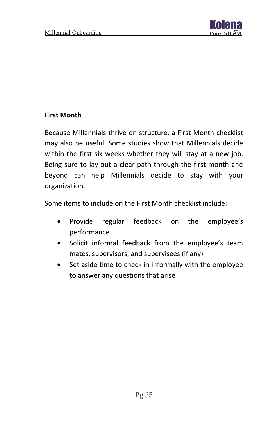

#### **First Month**

Because Millennials thrive on structure, a First Month checklist may also be useful. Some studies show that Millennials decide within the first six weeks whether they will stay at a new job. Being sure to lay out a clear path through the first month and beyond can help Millennials decide to stay with your organization.

Some items to include on the First Month checklist include:

- Provide regular feedback on the employee's performance
- Solicit informal feedback from the employee's team mates, supervisors, and supervisees (if any)
- Set aside time to check in informally with the employee to answer any questions that arise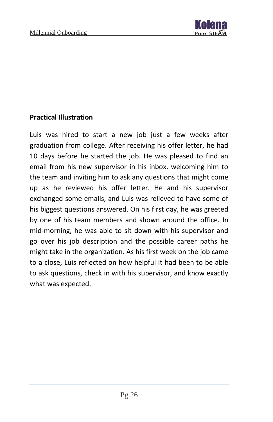

#### **Practical Illustration**

Luis was hired to start a new job just a few weeks after graduation from college. After receiving his offer letter, he had 10 days before he started the job. He was pleased to find an email from his new supervisor in his inbox, welcoming him to the team and inviting him to ask any questions that might come up as he reviewed his offer letter. He and his supervisor exchanged some emails, and Luis was relieved to have some of his biggest questions answered. On his first day, he was greeted by one of his team members and shown around the office. In mid-morning, he was able to sit down with his supervisor and go over his job description and the possible career paths he might take in the organization. As his first week on the job came to a close, Luis reflected on how helpful it had been to be able to ask questions, check in with his supervisor, and know exactly what was expected.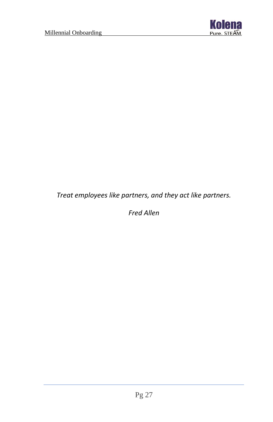

*Treat employees like partners, and they act like partners.*

*Fred Allen*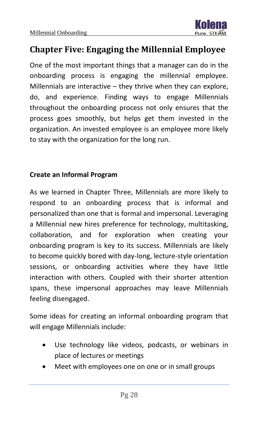

## <span id="page-28-0"></span>**Chapter Five: Engaging the Millennial Employee**

One of the most important things that a manager can do in the onboarding process is engaging the millennial employee. Millennials are interactive – they thrive when they can explore, do, and experience. Finding ways to engage Millennials throughout the onboarding process not only ensures that the process goes smoothly, but helps get them invested in the organization. An invested employee is an employee more likely to stay with the organization for the long run.

#### **Create an Informal Program**

As we learned in Chapter Three, Millennials are more likely to respond to an onboarding process that is informal and personalized than one that is formal and impersonal. Leveraging a Millennial new hires preference for technology, multitasking, collaboration, and for exploration when creating your onboarding program is key to its success. Millennials are likely to become quickly bored with day-long, lecture-style orientation sessions, or onboarding activities where they have little interaction with others. Coupled with their shorter attention spans, these impersonal approaches may leave Millennials feeling disengaged.

Some ideas for creating an informal onboarding program that will engage Millennials include:

- Use technology like videos, podcasts, or webinars in place of lectures or meetings
- Meet with employees one on one or in small groups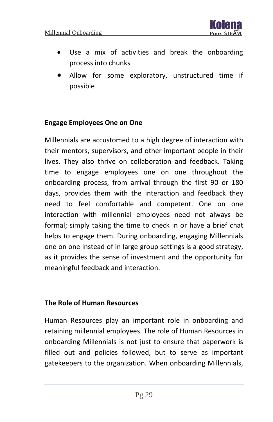

- Use a mix of activities and break the onboarding process into chunks
- Allow for some exploratory, unstructured time if possible

#### **Engage Employees One on One**

Millennials are accustomed to a high degree of interaction with their mentors, supervisors, and other important people in their lives. They also thrive on collaboration and feedback. Taking time to engage employees one on one throughout the onboarding process, from arrival through the first 90 or 180 days, provides them with the interaction and feedback they need to feel comfortable and competent. One on one interaction with millennial employees need not always be formal; simply taking the time to check in or have a brief chat helps to engage them. During onboarding, engaging Millennials one on one instead of in large group settings is a good strategy, as it provides the sense of investment and the opportunity for meaningful feedback and interaction.

#### **The Role of Human Resources**

Human Resources play an important role in onboarding and retaining millennial employees. The role of Human Resources in onboarding Millennials is not just to ensure that paperwork is filled out and policies followed, but to serve as important gatekeepers to the organization. When onboarding Millennials,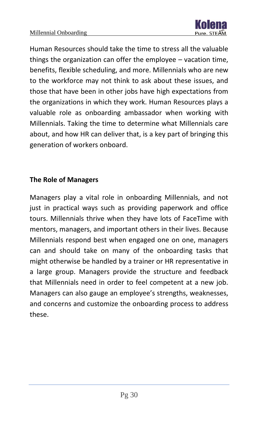

Human Resources should take the time to stress all the valuable things the organization can offer the employee – vacation time, benefits, flexible scheduling, and more. Millennials who are new to the workforce may not think to ask about these issues, and those that have been in other jobs have high expectations from the organizations in which they work. Human Resources plays a valuable role as onboarding ambassador when working with Millennials. Taking the time to determine what Millennials care about, and how HR can deliver that, is a key part of bringing this generation of workers onboard.

#### **The Role of Managers**

Managers play a vital role in onboarding Millennials, and not just in practical ways such as providing paperwork and office tours. Millennials thrive when they have lots of FaceTime with mentors, managers, and important others in their lives. Because Millennials respond best when engaged one on one, managers can and should take on many of the onboarding tasks that might otherwise be handled by a trainer or HR representative in a large group. Managers provide the structure and feedback that Millennials need in order to feel competent at a new job. Managers can also gauge an employee's strengths, weaknesses, and concerns and customize the onboarding process to address these.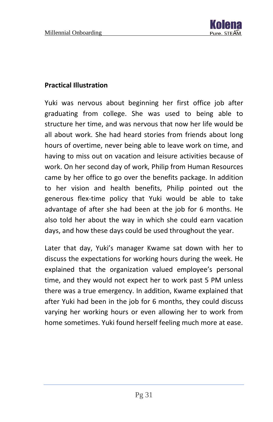

#### **Practical Illustration**

Yuki was nervous about beginning her first office job after graduating from college. She was used to being able to structure her time, and was nervous that now her life would be all about work. She had heard stories from friends about long hours of overtime, never being able to leave work on time, and having to miss out on vacation and leisure activities because of work. On her second day of work, Philip from Human Resources came by her office to go over the benefits package. In addition to her vision and health benefits, Philip pointed out the generous flex-time policy that Yuki would be able to take advantage of after she had been at the job for 6 months. He also told her about the way in which she could earn vacation days, and how these days could be used throughout the year.

Later that day, Yuki's manager Kwame sat down with her to discuss the expectations for working hours during the week. He explained that the organization valued employee's personal time, and they would not expect her to work past 5 PM unless there was a true emergency. In addition, Kwame explained that after Yuki had been in the job for 6 months, they could discuss varying her working hours or even allowing her to work from home sometimes. Yuki found herself feeling much more at ease.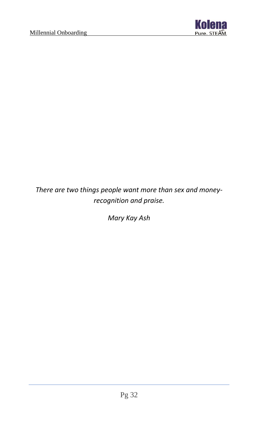

*There are two things people want more than sex and moneyrecognition and praise.*

*Mary Kay Ash*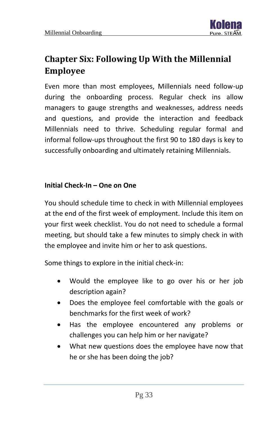<span id="page-33-0"></span>

Even more than most employees, Millennials need follow-up during the onboarding process. Regular check ins allow managers to gauge strengths and weaknesses, address needs and questions, and provide the interaction and feedback Millennials need to thrive. Scheduling regular formal and informal follow-ups throughout the first 90 to 180 days is key to successfully onboarding and ultimately retaining Millennials.

#### **Initial Check-In – One on One**

You should schedule time to check in with Millennial employees at the end of the first week of employment. Include this item on your first week checklist. You do not need to schedule a formal meeting, but should take a few minutes to simply check in with the employee and invite him or her to ask questions.

Some things to explore in the initial check-in:

- Would the employee like to go over his or her job description again?
- Does the employee feel comfortable with the goals or benchmarks for the first week of work?
- Has the employee encountered any problems or challenges you can help him or her navigate?
- What new questions does the employee have now that he or she has been doing the job?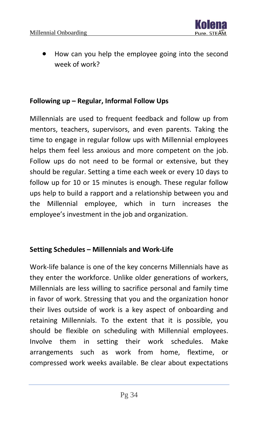

• How can you help the employee going into the second week of work?

#### **Following up – Regular, Informal Follow Ups**

Millennials are used to frequent feedback and follow up from mentors, teachers, supervisors, and even parents. Taking the time to engage in regular follow ups with Millennial employees helps them feel less anxious and more competent on the job. Follow ups do not need to be formal or extensive, but they should be regular. Setting a time each week or every 10 days to follow up for 10 or 15 minutes is enough. These regular follow ups help to build a rapport and a relationship between you and the Millennial employee, which in turn increases the employee's investment in the job and organization.

#### **Setting Schedules – Millennials and Work-Life**

Work-life balance is one of the key concerns Millennials have as they enter the workforce. Unlike older generations of workers, Millennials are less willing to sacrifice personal and family time in favor of work. Stressing that you and the organization honor their lives outside of work is a key aspect of onboarding and retaining Millennials. To the extent that it is possible, you should be flexible on scheduling with Millennial employees. Involve them in setting their work schedules. Make arrangements such as work from home, flextime, or compressed work weeks available. Be clear about expectations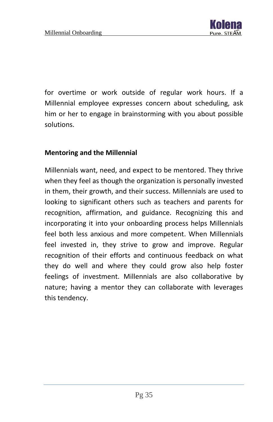for overtime or work outside of regular work hours. If a Millennial employee expresses concern about scheduling, ask him or her to engage in brainstorming with you about possible solutions.

#### **Mentoring and the Millennial**

Millennials want, need, and expect to be mentored. They thrive when they feel as though the organization is personally invested in them, their growth, and their success. Millennials are used to looking to significant others such as teachers and parents for recognition, affirmation, and guidance. Recognizing this and incorporating it into your onboarding process helps Millennials feel both less anxious and more competent. When Millennials feel invested in, they strive to grow and improve. Regular recognition of their efforts and continuous feedback on what they do well and where they could grow also help foster feelings of investment. Millennials are also collaborative by nature; having a mentor they can collaborate with leverages this tendency.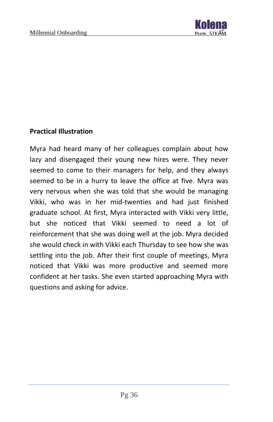

#### **Practical Illustration**

Myra had heard many of her colleagues complain about how lazy and disengaged their young new hires were. They never seemed to come to their managers for help, and they always seemed to be in a hurry to leave the office at five. Myra was very nervous when she was told that she would be managing Vikki, who was in her mid-twenties and had just finished graduate school. At first, Myra interacted with Vikki very little, but she noticed that Vikki seemed to need a lot of reinforcement that she was doing well at the job. Myra decided she would check in with Vikki each Thursday to see how she was settling into the job. After their first couple of meetings, Myra noticed that Vikki was more productive and seemed more confident at her tasks. She even started approaching Myra with questions and asking for advice.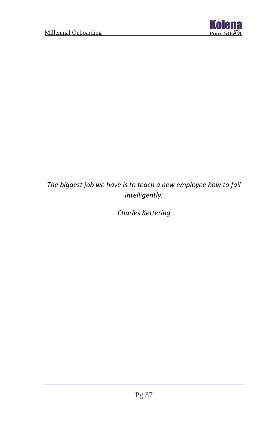

## *The biggest job we have is to teach a new employee how to fail intelligently.*

*Charles Kettering*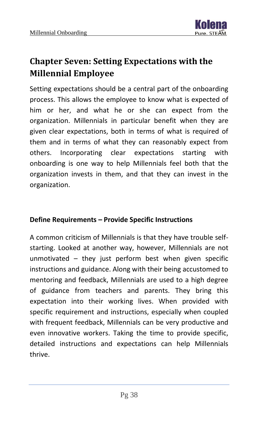

# <span id="page-38-0"></span>**Chapter Seven: Setting Expectations with the Millennial Employee**

Setting expectations should be a central part of the onboarding process. This allows the employee to know what is expected of him or her, and what he or she can expect from the organization. Millennials in particular benefit when they are given clear expectations, both in terms of what is required of them and in terms of what they can reasonably expect from others. Incorporating clear expectations starting with onboarding is one way to help Millennials feel both that the organization invests in them, and that they can invest in the organization.

#### **Define Requirements – Provide Specific Instructions**

A common criticism of Millennials is that they have trouble selfstarting. Looked at another way, however, Millennials are not unmotivated – they just perform best when given specific instructions and guidance. Along with their being accustomed to mentoring and feedback, Millennials are used to a high degree of guidance from teachers and parents. They bring this expectation into their working lives. When provided with specific requirement and instructions, especially when coupled with frequent feedback, Millennials can be very productive and even innovative workers. Taking the time to provide specific, detailed instructions and expectations can help Millennials thrive.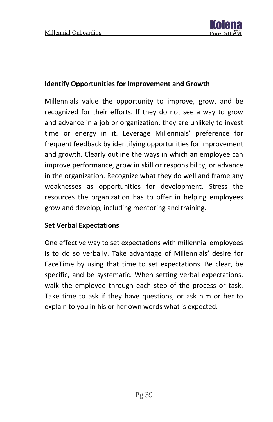

#### **Identify Opportunities for Improvement and Growth**

Millennials value the opportunity to improve, grow, and be recognized for their efforts. If they do not see a way to grow and advance in a job or organization, they are unlikely to invest time or energy in it. Leverage Millennials' preference for frequent feedback by identifying opportunities for improvement and growth. Clearly outline the ways in which an employee can improve performance, grow in skill or responsibility, or advance in the organization. Recognize what they do well and frame any weaknesses as opportunities for development. Stress the resources the organization has to offer in helping employees grow and develop, including mentoring and training.

#### **Set Verbal Expectations**

One effective way to set expectations with millennial employees is to do so verbally. Take advantage of Millennials' desire for FaceTime by using that time to set expectations. Be clear, be specific, and be systematic. When setting verbal expectations, walk the employee through each step of the process or task. Take time to ask if they have questions, or ask him or her to explain to you in his or her own words what is expected.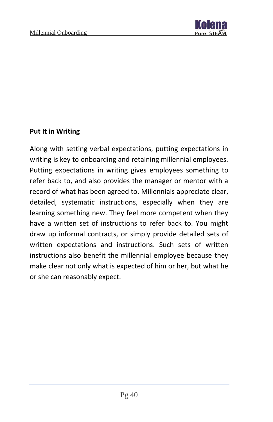

#### **Put It in Writing**

Along with setting verbal expectations, putting expectations in writing is key to onboarding and retaining millennial employees. Putting expectations in writing gives employees something to refer back to, and also provides the manager or mentor with a record of what has been agreed to. Millennials appreciate clear, detailed, systematic instructions, especially when they are learning something new. They feel more competent when they have a written set of instructions to refer back to. You might draw up informal contracts, or simply provide detailed sets of written expectations and instructions. Such sets of written instructions also benefit the millennial employee because they make clear not only what is expected of him or her, but what he or she can reasonably expect.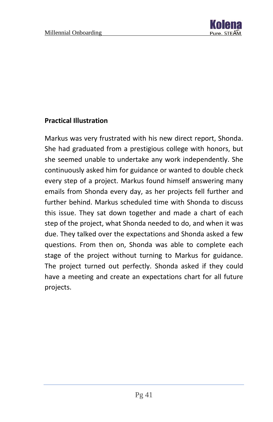

#### **Practical Illustration**

Markus was very frustrated with his new direct report, Shonda. She had graduated from a prestigious college with honors, but she seemed unable to undertake any work independently. She continuously asked him for guidance or wanted to double check every step of a project. Markus found himself answering many emails from Shonda every day, as her projects fell further and further behind. Markus scheduled time with Shonda to discuss this issue. They sat down together and made a chart of each step of the project, what Shonda needed to do, and when it was due. They talked over the expectations and Shonda asked a few questions. From then on, Shonda was able to complete each stage of the project without turning to Markus for guidance. The project turned out perfectly. Shonda asked if they could have a meeting and create an expectations chart for all future projects.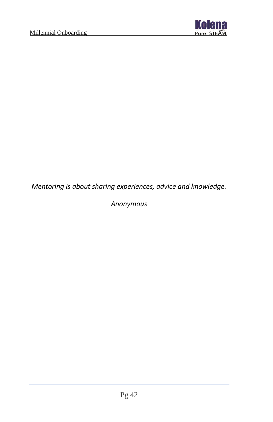

*Mentoring is about sharing experiences, advice and knowledge.*

*Anonymous*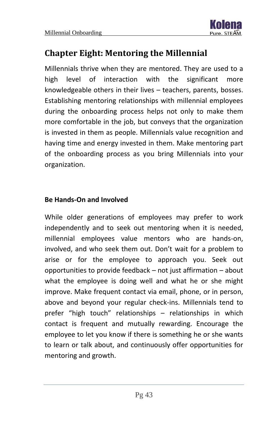# <span id="page-43-0"></span>**Chapter Eight: Mentoring the Millennial**

Millennials thrive when they are mentored. They are used to a high level of interaction with the significant more knowledgeable others in their lives – teachers, parents, bosses. Establishing mentoring relationships with millennial employees during the onboarding process helps not only to make them more comfortable in the job, but conveys that the organization is invested in them as people. Millennials value recognition and having time and energy invested in them. Make mentoring part of the onboarding process as you bring Millennials into your organization.

#### **Be Hands-On and Involved**

While older generations of employees may prefer to work independently and to seek out mentoring when it is needed, millennial employees value mentors who are hands-on, involved, and who seek them out. Don't wait for a problem to arise or for the employee to approach you. Seek out opportunities to provide feedback – not just affirmation – about what the employee is doing well and what he or she might improve. Make frequent contact via email, phone, or in person, above and beyond your regular check-ins. Millennials tend to prefer "high touch" relationships – relationships in which contact is frequent and mutually rewarding. Encourage the employee to let you know if there is something he or she wants to learn or talk about, and continuously offer opportunities for mentoring and growth.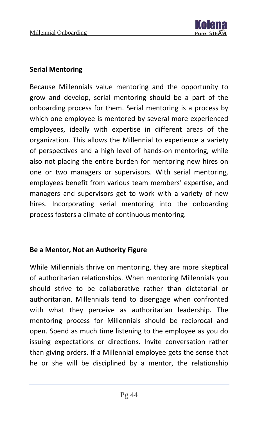#### **Serial Mentoring**

Because Millennials value mentoring and the opportunity to grow and develop, serial mentoring should be a part of the onboarding process for them. Serial mentoring is a process by which one employee is mentored by several more experienced employees, ideally with expertise in different areas of the organization. This allows the Millennial to experience a variety of perspectives and a high level of hands-on mentoring, while also not placing the entire burden for mentoring new hires on one or two managers or supervisors. With serial mentoring, employees benefit from various team members' expertise, and managers and supervisors get to work with a variety of new hires. Incorporating serial mentoring into the onboarding process fosters a climate of continuous mentoring.

#### **Be a Mentor, Not an Authority Figure**

While Millennials thrive on mentoring, they are more skeptical of authoritarian relationships. When mentoring Millennials you should strive to be collaborative rather than dictatorial or authoritarian. Millennials tend to disengage when confronted with what they perceive as authoritarian leadership. The mentoring process for Millennials should be reciprocal and open. Spend as much time listening to the employee as you do issuing expectations or directions. Invite conversation rather than giving orders. If a Millennial employee gets the sense that he or she will be disciplined by a mentor, the relationship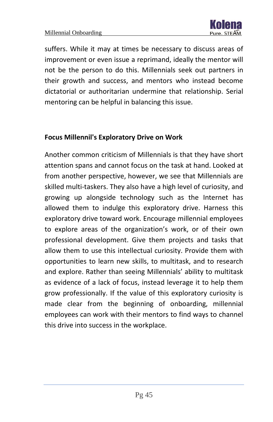

suffers. While it may at times be necessary to discuss areas of improvement or even issue a reprimand, ideally the mentor will not be the person to do this. Millennials seek out partners in their growth and success, and mentors who instead become dictatorial or authoritarian undermine that relationship. Serial mentoring can be helpful in balancing this issue.

#### **Focus Millennil's Exploratory Drive on Work**

Another common criticism of Millennials is that they have short attention spans and cannot focus on the task at hand. Looked at from another perspective, however, we see that Millennials are skilled multi-taskers. They also have a high level of curiosity, and growing up alongside technology such as the Internet has allowed them to indulge this exploratory drive. Harness this exploratory drive toward work. Encourage millennial employees to explore areas of the organization's work, or of their own professional development. Give them projects and tasks that allow them to use this intellectual curiosity. Provide them with opportunities to learn new skills, to multitask, and to research and explore. Rather than seeing Millennials' ability to multitask as evidence of a lack of focus, instead leverage it to help them grow professionally. If the value of this exploratory curiosity is made clear from the beginning of onboarding, millennial employees can work with their mentors to find ways to channel this drive into success in the workplace.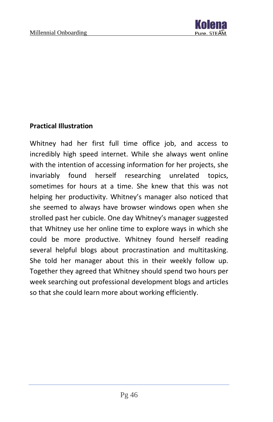

#### **Practical Illustration**

Whitney had her first full time office job, and access to incredibly high speed internet. While she always went online with the intention of accessing information for her projects, she invariably found herself researching unrelated topics, sometimes for hours at a time. She knew that this was not helping her productivity. Whitney's manager also noticed that she seemed to always have browser windows open when she strolled past her cubicle. One day Whitney's manager suggested that Whitney use her online time to explore ways in which she could be more productive. Whitney found herself reading several helpful blogs about procrastination and multitasking. She told her manager about this in their weekly follow up. Together they agreed that Whitney should spend two hours per week searching out professional development blogs and articles so that she could learn more about working efficiently.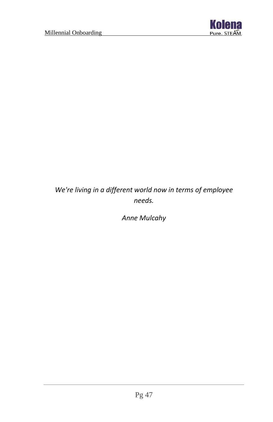

## *We're living in a different world now in terms of employee needs.*

*Anne Mulcahy*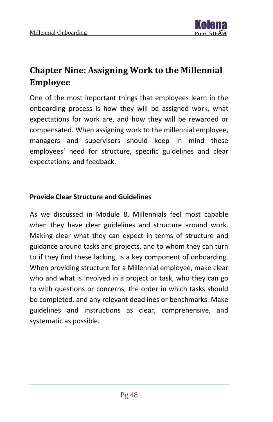

# <span id="page-48-0"></span>**Chapter Nine: Assigning Work to the Millennial Employee**

One of the most important things that employees learn in the onboarding process is how they will be assigned work, what expectations for work are, and how they will be rewarded or compensated. When assigning work to the millennial employee, managers and supervisors should keep in mind these employees' need for structure, specific guidelines and clear expectations, and feedback.

#### **Provide Clear Structure and Guidelines**

As we discussed in Module 8, Millennials feel most capable when they have clear guidelines and structure around work. Making clear what they can expect in terms of structure and guidance around tasks and projects, and to whom they can turn to if they find these lacking, is a key component of onboarding. When providing structure for a Millennial employee, make clear who and what is involved in a project or task, who they can go to with questions or concerns, the order in which tasks should be completed, and any relevant deadlines or benchmarks. Make guidelines and instructions as clear, comprehensive, and systematic as possible.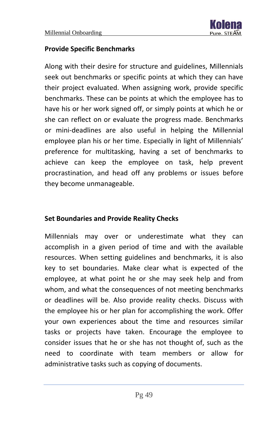

#### **Provide Specific Benchmarks**

Along with their desire for structure and guidelines, Millennials seek out benchmarks or specific points at which they can have their project evaluated. When assigning work, provide specific benchmarks. These can be points at which the employee has to have his or her work signed off, or simply points at which he or she can reflect on or evaluate the progress made. Benchmarks or mini-deadlines are also useful in helping the Millennial employee plan his or her time. Especially in light of Millennials' preference for multitasking, having a set of benchmarks to achieve can keep the employee on task, help prevent procrastination, and head off any problems or issues before they become unmanageable.

#### **Set Boundaries and Provide Reality Checks**

Millennials may over or underestimate what they can accomplish in a given period of time and with the available resources. When setting guidelines and benchmarks, it is also key to set boundaries. Make clear what is expected of the employee, at what point he or she may seek help and from whom, and what the consequences of not meeting benchmarks or deadlines will be. Also provide reality checks. Discuss with the employee his or her plan for accomplishing the work. Offer your own experiences about the time and resources similar tasks or projects have taken. Encourage the employee to consider issues that he or she has not thought of, such as the need to coordinate with team members or allow for administrative tasks such as copying of documents.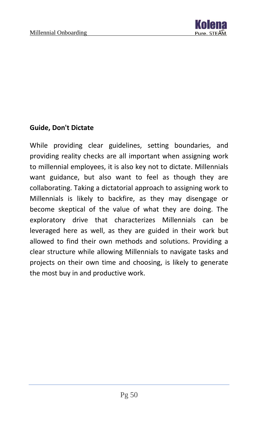

#### **Guide, Don't Dictate**

While providing clear guidelines, setting boundaries, and providing reality checks are all important when assigning work to millennial employees, it is also key not to dictate. Millennials want guidance, but also want to feel as though they are collaborating. Taking a dictatorial approach to assigning work to Millennials is likely to backfire, as they may disengage or become skeptical of the value of what they are doing. The exploratory drive that characterizes Millennials can be leveraged here as well, as they are guided in their work but allowed to find their own methods and solutions. Providing a clear structure while allowing Millennials to navigate tasks and projects on their own time and choosing, is likely to generate the most buy in and productive work.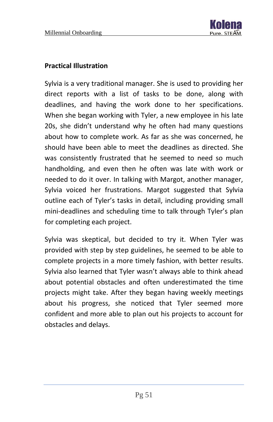

#### **Practical Illustration**

Sylvia is a very traditional manager. She is used to providing her direct reports with a list of tasks to be done, along with deadlines, and having the work done to her specifications. When she began working with Tyler, a new employee in his late 20s, she didn't understand why he often had many questions about how to complete work. As far as she was concerned, he should have been able to meet the deadlines as directed. She was consistently frustrated that he seemed to need so much handholding, and even then he often was late with work or needed to do it over. In talking with Margot, another manager, Sylvia voiced her frustrations. Margot suggested that Sylvia outline each of Tyler's tasks in detail, including providing small mini-deadlines and scheduling time to talk through Tyler's plan for completing each project.

Sylvia was skeptical, but decided to try it. When Tyler was provided with step by step guidelines, he seemed to be able to complete projects in a more timely fashion, with better results. Sylvia also learned that Tyler wasn't always able to think ahead about potential obstacles and often underestimated the time projects might take. After they began having weekly meetings about his progress, she noticed that Tyler seemed more confident and more able to plan out his projects to account for obstacles and delays.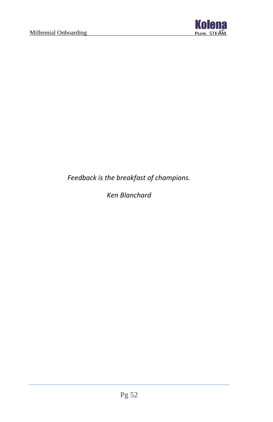

*Feedback is the breakfast of champions.*

*Ken Blanchard*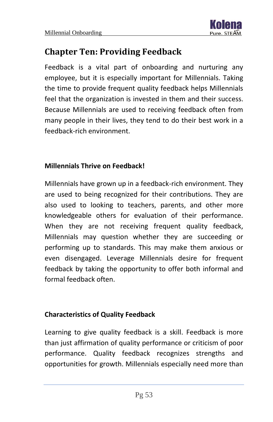

## <span id="page-53-0"></span>**Chapter Ten: Providing Feedback**

Feedback is a vital part of onboarding and nurturing any employee, but it is especially important for Millennials. Taking the time to provide frequent quality feedback helps Millennials feel that the organization is invested in them and their success. Because Millennials are used to receiving feedback often from many people in their lives, they tend to do their best work in a feedback-rich environment.

#### **Millennials Thrive on Feedback!**

Millennials have grown up in a feedback-rich environment. They are used to being recognized for their contributions. They are also used to looking to teachers, parents, and other more knowledgeable others for evaluation of their performance. When they are not receiving frequent quality feedback, Millennials may question whether they are succeeding or performing up to standards. This may make them anxious or even disengaged. Leverage Millennials desire for frequent feedback by taking the opportunity to offer both informal and formal feedback often.

#### **Characteristics of Quality Feedback**

Learning to give quality feedback is a skill. Feedback is more than just affirmation of quality performance or criticism of poor performance. Quality feedback recognizes strengths and opportunities for growth. Millennials especially need more than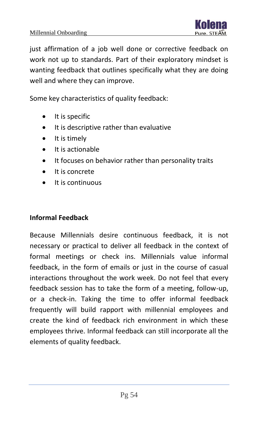

just affirmation of a job well done or corrective feedback on work not up to standards. Part of their exploratory mindset is wanting feedback that outlines specifically what they are doing well and where they can improve.

Some key characteristics of quality feedback:

- It is specific
- It is descriptive rather than evaluative
- It is timely
- It is actionable
- It focuses on behavior rather than personality traits
- It is concrete
- It is continuous

#### **Informal Feedback**

Because Millennials desire continuous feedback, it is not necessary or practical to deliver all feedback in the context of formal meetings or check ins. Millennials value informal feedback, in the form of emails or just in the course of casual interactions throughout the work week. Do not feel that every feedback session has to take the form of a meeting, follow-up, or a check-in. Taking the time to offer informal feedback frequently will build rapport with millennial employees and create the kind of feedback rich environment in which these employees thrive. Informal feedback can still incorporate all the elements of quality feedback.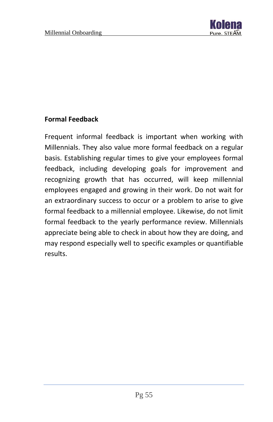

#### **Formal Feedback**

Frequent informal feedback is important when working with Millennials. They also value more formal feedback on a regular basis. Establishing regular times to give your employees formal feedback, including developing goals for improvement and recognizing growth that has occurred, will keep millennial employees engaged and growing in their work. Do not wait for an extraordinary success to occur or a problem to arise to give formal feedback to a millennial employee. Likewise, do not limit formal feedback to the yearly performance review. Millennials appreciate being able to check in about how they are doing, and may respond especially well to specific examples or quantifiable results.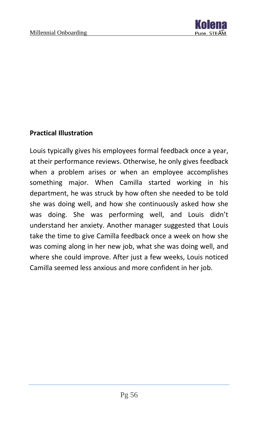

#### **Practical Illustration**

Louis typically gives his employees formal feedback once a year, at their performance reviews. Otherwise, he only gives feedback when a problem arises or when an employee accomplishes something major. When Camilla started working in his department, he was struck by how often she needed to be told she was doing well, and how she continuously asked how she was doing. She was performing well, and Louis didn't understand her anxiety. Another manager suggested that Louis take the time to give Camilla feedback once a week on how she was coming along in her new job, what she was doing well, and where she could improve. After just a few weeks, Louis noticed Camilla seemed less anxious and more confident in her job.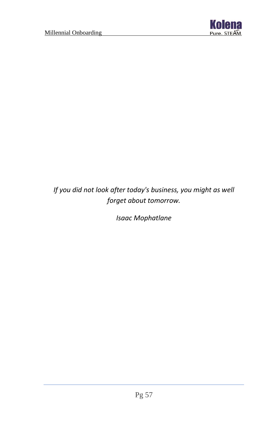

*If you did not look after today's business, you might as well forget about tomorrow.*

*Isaac Mophatlane*